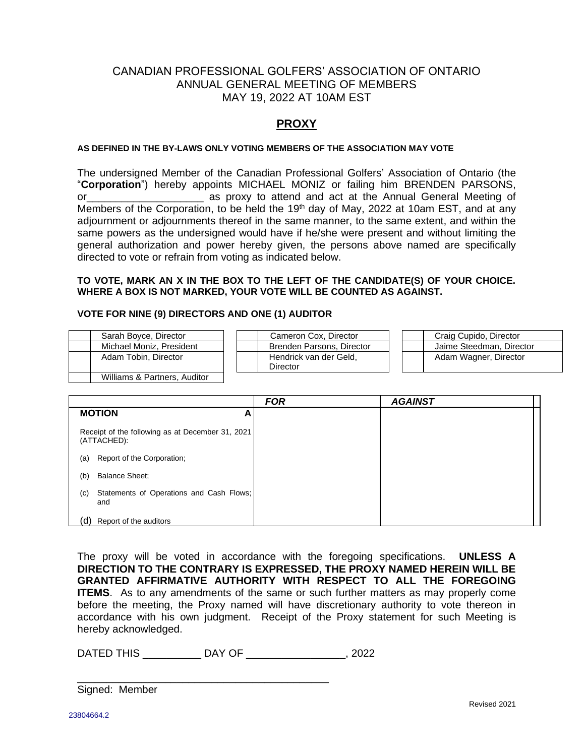# CANADIAN PROFESSIONAL GOLFERS' ASSOCIATION OF ONTARIO ANNUAL GENERAL MEETING OF MEMBERS MAY 19, 2022 AT 10AM EST

## **PROXY**

#### **AS DEFINED IN THE BY-LAWS ONLY VOTING MEMBERS OF THE ASSOCIATION MAY VOTE**

The undersigned Member of the Canadian Professional Golfers' Association of Ontario (the "**Corporation**") hereby appoints MICHAEL MONIZ or failing him BRENDEN PARSONS, or\_\_\_\_\_\_\_\_\_\_\_\_\_\_\_\_\_\_\_\_ as proxy to attend and act at the Annual General Meeting of Members of the Corporation, to be held the  $19<sup>th</sup>$  day of May, 2022 at 10am EST, and at any adjournment or adjournments thereof in the same manner, to the same extent, and within the same powers as the undersigned would have if he/she were present and without limiting the general authorization and power hereby given, the persons above named are specifically directed to vote or refrain from voting as indicated below.

### **TO VOTE, MARK AN X IN THE BOX TO THE LEFT OF THE CANDIDATE(S) OF YOUR CHOICE. WHERE A BOX IS NOT MARKED, YOUR VOTE WILL BE COUNTED AS AGAINST.**

#### **VOTE FOR NINE (9) DIRECTORS AND ONE (1) AUDITOR**

| Sarah Bovce, Director    | Cameron Cox, Director              | Craig Cupido, Director   |
|--------------------------|------------------------------------|--------------------------|
| Michael Moniz, President | Brenden Parsons, Director          | Jaime Steedman, Director |
| Adam Tobin, Director     | Hendrick van der Geld,<br>Director | Adam Wagner, Director    |
| $M\ddot{\theta}$         |                                    |                          |

| Villiams & Partners, Auditor |

|                                                                 |                                                 | <b>FOR</b> | <b>AGAINST</b> |
|-----------------------------------------------------------------|-------------------------------------------------|------------|----------------|
|                                                                 | <b>MOTION</b><br>A                              |            |                |
| Receipt of the following as at December 31, 2021<br>(ATTACHED): |                                                 |            |                |
| (a)                                                             | Report of the Corporation;                      |            |                |
| (b)                                                             | <b>Balance Sheet:</b>                           |            |                |
| (c)                                                             | Statements of Operations and Cash Flows;<br>and |            |                |
| (d)                                                             | Report of the auditors                          |            |                |

The proxy will be voted in accordance with the foregoing specifications. **UNLESS A DIRECTION TO THE CONTRARY IS EXPRESSED, THE PROXY NAMED HEREIN WILL BE GRANTED AFFIRMATIVE AUTHORITY WITH RESPECT TO ALL THE FOREGOING ITEMS**. As to any amendments of the same or such further matters as may properly come before the meeting, the Proxy named will have discretionary authority to vote thereon in accordance with his own judgment. Receipt of the Proxy statement for such Meeting is hereby acknowledged.

DATED THIS \_\_\_\_\_\_\_\_\_\_ DAY OF \_\_\_\_\_\_\_\_\_\_\_\_\_\_\_\_\_, 2022

\_\_\_\_\_\_\_\_\_\_\_\_\_\_\_\_\_\_\_\_\_\_\_\_\_\_\_\_\_\_\_\_\_\_\_\_\_\_\_\_\_\_\_

Signed: Member